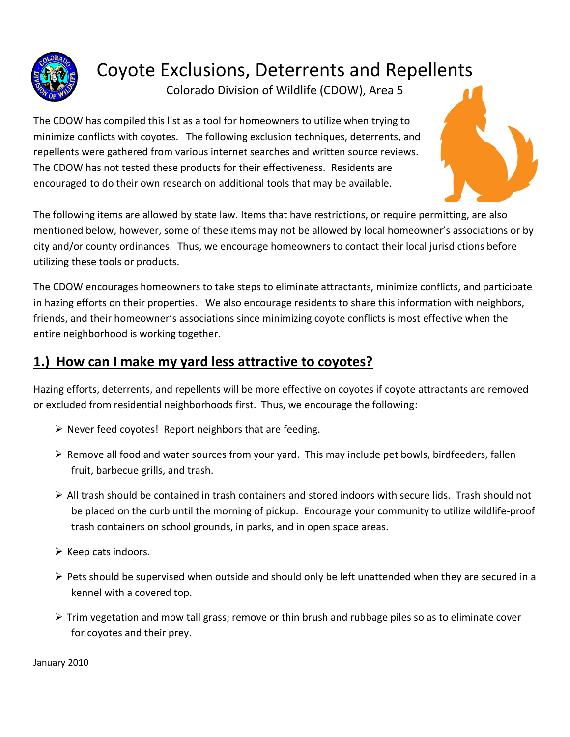

Coyote Exclusions, Deterrents and Repellents

Colorado Division of Wildlife (CDOW), Area 5

The CDOW has compiled this list as a tool for homeowners to utilize when trying to minimize conflicts with coyotes. The following exclusion techniques, deterrents, and repellents were gathered from various internet searches and written source reviews. The CDOW has not tested these products for their effectiveness. Residents are encouraged to do their own research on additional tools that may be available.



The following items are allowed by state law. Items that have restrictions, or require permitting, are also mentioned below, however, some of these items may not be allowed by local homeowner's associations or by city and/or county ordinances. Thus, we encourage homeowners to contact their local jurisdictions before utilizing these tools or products.

The CDOW encourages homeowners to take steps to eliminate attractants, minimize conflicts, and participate in hazing efforts on their properties. We also encourage residents to share this information with neighbors, friends, and their homeowner's associations since minimizing coyote conflicts is most effective when the entire neighborhood is working together.

# **1.) How can I make my yard less attractive to coyotes?**

Hazing efforts, deterrents, and repellents will be more effective on coyotes if coyote attractants are removed or excluded from residential neighborhoods first. Thus, we encourage the following:

- $\triangleright$  Never feed coyotes! Report neighbors that are feeding.
- $\triangleright$  Remove all food and water sources from your yard. This may include pet bowls, birdfeeders, fallen fruit, barbecue grills, and trash.
- $\triangleright$  All trash should be contained in trash containers and stored indoors with secure lids. Trash should not be placed on the curb until the morning of pickup. Encourage your community to utilize wildlife-proof trash containers on school grounds, in parks, and in open space areas.
- $\triangleright$  Keep cats indoors.
- $\triangleright$  Pets should be supervised when outside and should only be left unattended when they are secured in a kennel with a covered top.
- $\triangleright$  Trim vegetation and mow tall grass; remove or thin brush and rubbage piles so as to eliminate cover for coyotes and their prey.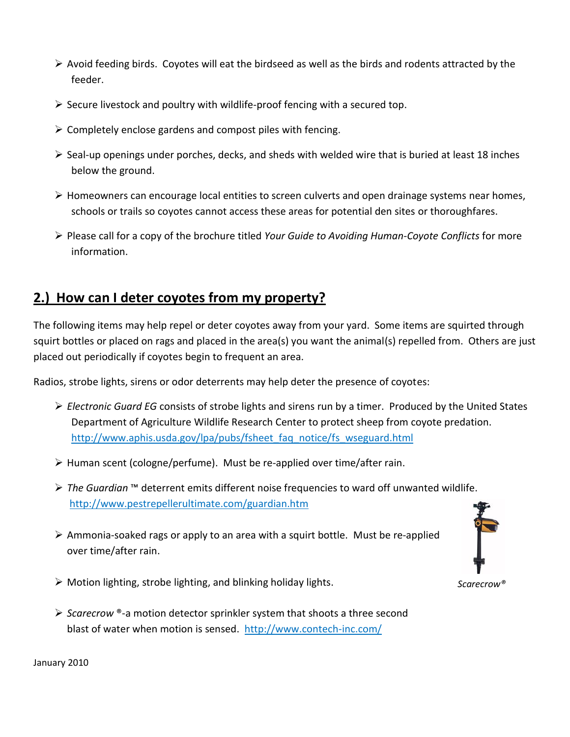- $\triangleright$  Avoid feeding birds. Coyotes will eat the birdseed as well as the birds and rodents attracted by the feeder.
- $\triangleright$  Secure livestock and poultry with wildlife-proof fencing with a secured top.
- $\triangleright$  Completely enclose gardens and compost piles with fencing.
- $\triangleright$  Seal-up openings under porches, decks, and sheds with welded wire that is buried at least 18 inches below the ground.
- Homeowners can encourage local entities to screen culverts and open drainage systems near homes, schools or trails so coyotes cannot access these areas for potential den sites or thoroughfares.
- Please call for a copy of the brochure titled *Your Guide to Avoiding Human-Coyote Conflicts* for more information.

# **2.) How can I deter coyotes from my property?**

The following items may help repel or deter coyotes away from your yard. Some items are squirted through squirt bottles or placed on rags and placed in the area(s) you want the animal(s) repelled from. Others are just placed out periodically if coyotes begin to frequent an area.

Radios, strobe lights, sirens or odor deterrents may help deter the presence of coyotes:

- *Electronic Guard EG* consists of strobe lights and sirens run by a timer. Produced by the United States Department of Agriculture Wildlife Research Center to protect sheep from coyote predation. http://www.aphis.usda.gov/lpa/pubs/fsheet\_faq\_notice/fs\_wseguard.html
- $\triangleright$  Human scent (cologne/perfume). Must be re-applied over time/after rain.
- *The Guardian* ™ deterrent emits different noise frequencies to ward off unwanted wildlife. <http://www.pestrepellerultimate.com/guardian.htm>
- $\triangleright$  Ammonia-soaked rags or apply to an area with a squirt bottle. Must be re-applied over time/after rain.
- $\triangleright$  Motion lighting, strobe lighting, and blinking holiday lights.
- *Scarecrow* ®-a motion detector sprinkler system that shoots a three second blast of water when motion is sensed.<http://www.contech-inc.com/>

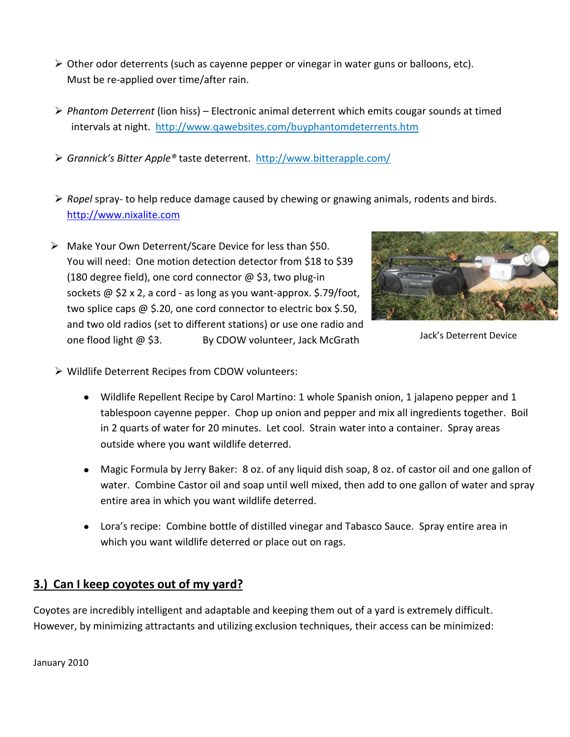- $\triangleright$  Other odor deterrents (such as cayenne pepper or vinegar in water guns or balloons, etc). Must be re-applied over time/after rain.
- *Phantom Deterrent* (lion hiss) Electronic animal deterrent which emits cougar sounds at timed intervals at night. <http://www.qawebsites.com/buyphantomdeterrents.htm>
- *Grannick's Bitter Apple®* taste deterrent. <http://www.bitterapple.com/>
- *Ropel* spray- to help reduce damage caused by chewing or gnawing animals, rodents and birds. [http://www.nixalite.com](http://www.nixalite.com/)
- Make Your Own Deterrent/Scare Device for less than \$50. You will need: One motion detection detector from \$18 to \$39 (180 degree field), one cord connector  $\omega$  \$3, two plug-in sockets @ \$2 x 2, a cord - as long as you want-approx. \$.79/foot, two splice caps @ \$.20, one cord connector to electric box \$.50, and two old radios (set to different stations) or use one radio and one flood light @ \$3. By CDOW volunteer, Jack McGrath



Jack's Deterrent Device

- Wildlife Deterrent Recipes from CDOW volunteers:
	- Wildlife Repellent Recipe by Carol Martino: 1 whole Spanish onion, 1 jalapeno pepper and 1 tablespoon cayenne pepper. Chop up onion and pepper and mix all ingredients together. Boil in 2 quarts of water for 20 minutes. Let cool. Strain water into a container. Spray areas outside where you want wildlife deterred.
	- Magic Formula by Jerry Baker: 8 oz. of any liquid dish soap, 8 oz. of castor oil and one gallon of water. Combine Castor oil and soap until well mixed, then add to one gallon of water and spray entire area in which you want wildlife deterred.
	- Lora's recipe: Combine bottle of distilled vinegar and Tabasco Sauce. Spray entire area in which you want wildlife deterred or place out on rags.

#### **3.) Can I keep coyotes out of my yard?**

Coyotes are incredibly intelligent and adaptable and keeping them out of a yard is extremely difficult. However, by minimizing attractants and utilizing exclusion techniques, their access can be minimized: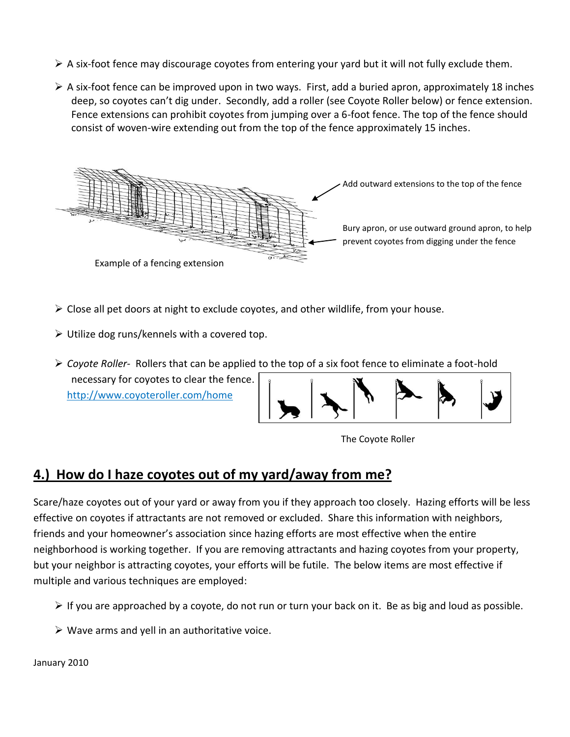- $\triangleright$  A six-foot fence may discourage coyotes from entering your yard but it will not fully exclude them.
- $\triangleright$  A six-foot fence can be improved upon in two ways. First, add a buried apron, approximately 18 inches deep, so coyotes can't dig under. Secondly, add a roller (see Coyote Roller below) or fence extension. Fence extensions can prohibit coyotes from jumping over a 6-foot fence. The top of the fence should consist of woven-wire extending out from the top of the fence approximately 15 inches.



- $\triangleright$  Close all pet doors at night to exclude coyotes, and other wildlife, from your house.
- $\triangleright$  Utilize dog runs/kennels with a covered top.
- *Coyote Roller-* Rollers that can be applied to the top of a six foot fence to eliminate a foot-hold necessary for coyotes to clear the fence. http://www.coyoteroller.com/home





# **4.) How do I haze coyotes out of my yard/away from me?**

Scare/haze coyotes out of your yard or away from you if they approach too closely. Hazing efforts will be less effective on coyotes if attractants are not removed or excluded. Share this information with neighbors, friends and your homeowner's association since hazing efforts are most effective when the entire neighborhood is working together. If you are removing attractants and hazing coyotes from your property, but your neighbor is attracting coyotes, your efforts will be futile. The below items are most effective if multiple and various techniques are employed:

- $\triangleright$  If you are approached by a coyote, do not run or turn your back on it. Be as big and loud as possible.
- $\triangleright$  Wave arms and yell in an authoritative voice.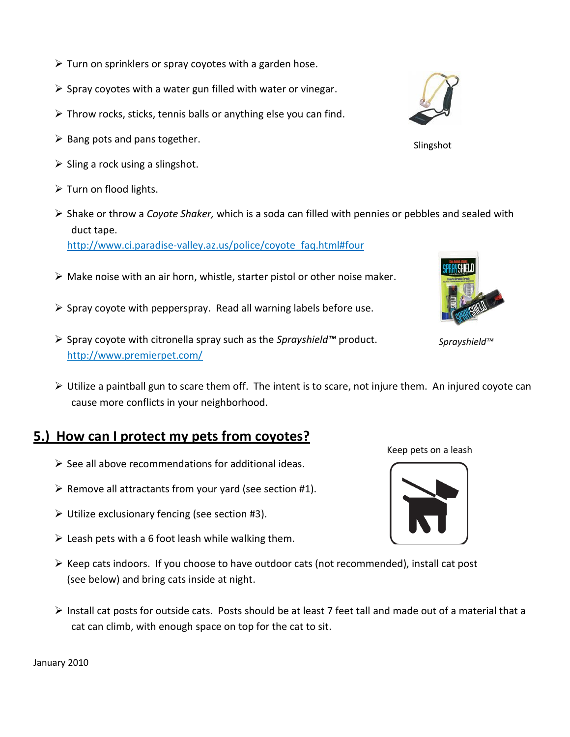- $\triangleright$  Turn on sprinklers or spray coyotes with a garden hose.
- $\triangleright$  Spray coyotes with a water gun filled with water or vinegar.
- $\triangleright$  Throw rocks, sticks, tennis balls or anything else you can find.
- $\triangleright$  Bang pots and pans together.
- $\triangleright$  Sling a rock using a slingshot.
- $\triangleright$  Turn on flood lights.
- Shake or throw a *Coyote Shaker,* which is a soda can filled with pennies or pebbles and sealed with duct tape.

[http://www.ci.paradise-valley.az.us/police/coyote\\_faq.html#four](http://www.ci.paradise-valley.az.us/police/coyote_faq.html#four)

- $\triangleright$  Make noise with an air horn, whistle, starter pistol or other noise maker.
- $\triangleright$  Spray coyote with pepperspray. Read all warning labels before use.
- Spray coyote with citronella spray such as the *Sprayshield™* product. http://www.premierpet.com/
- Utilize a paintball gun to scare them off. The intent is to scare, not injure them. An injured coyote can cause more conflicts in your neighborhood.

# **5.) How can I protect my pets from coyotes?**

- $\triangleright$  See all above recommendations for additional ideas.
- $\triangleright$  Remove all attractants from your yard (see section #1).
- $\triangleright$  Utilize exclusionary fencing (see section #3).
- $\triangleright$  Leash pets with a 6 foot leash while walking them.
- $\triangleright$  Keep cats indoors. If you choose to have outdoor cats (not recommended), install cat post (see below) and bring cats inside at night.
- $\triangleright$  Install cat posts for outside cats. Posts should be at least 7 feet tall and made out of a material that a cat can climb, with enough space on top for the cat to sit.

January 2010

Slingshot





Keep pets on a leash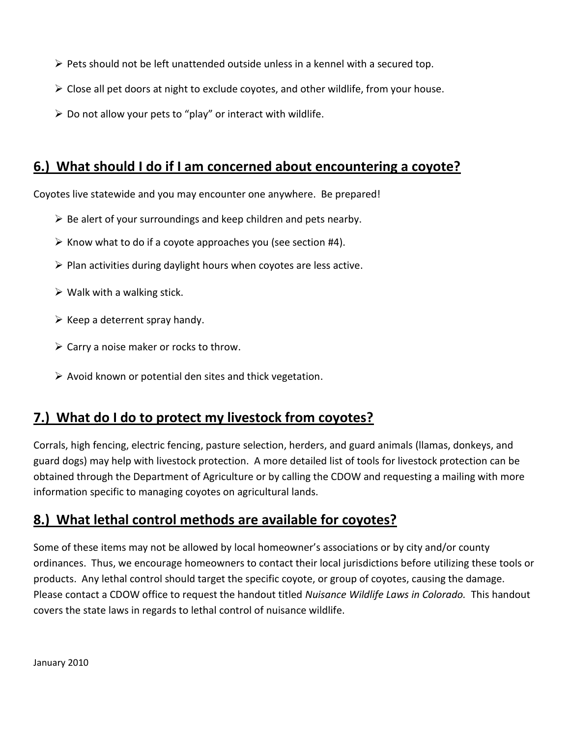- $\triangleright$  Pets should not be left unattended outside unless in a kennel with a secured top.
- $\triangleright$  Close all pet doors at night to exclude coyotes, and other wildlife, from your house.
- $\triangleright$  Do not allow your pets to "play" or interact with wildlife.

### **6.) What should I do if I am concerned about encountering a coyote?**

Coyotes live statewide and you may encounter one anywhere. Be prepared!

- $\triangleright$  Be alert of your surroundings and keep children and pets nearby.
- $\triangleright$  Know what to do if a coyote approaches you (see section #4).
- $\triangleright$  Plan activities during daylight hours when coyotes are less active.
- $\triangleright$  Walk with a walking stick.
- $\triangleright$  Keep a deterrent spray handy.
- $\triangleright$  Carry a noise maker or rocks to throw.
- $\triangleright$  Avoid known or potential den sites and thick vegetation.

# **7.) What do I do to protect my livestock from coyotes?**

Corrals, high fencing, electric fencing, pasture selection, herders, and guard animals (llamas, donkeys, and guard dogs) may help with livestock protection. A more detailed list of tools for livestock protection can be obtained through the Department of Agriculture or by calling the CDOW and requesting a mailing with more information specific to managing coyotes on agricultural lands.

# **8.) What lethal control methods are available for coyotes?**

Some of these items may not be allowed by local homeowner's associations or by city and/or county ordinances. Thus, we encourage homeowners to contact their local jurisdictions before utilizing these tools or products. Any lethal control should target the specific coyote, or group of coyotes, causing the damage. Please contact a CDOW office to request the handout titled *Nuisance Wildlife Laws in Colorado.* This handout covers the state laws in regards to lethal control of nuisance wildlife.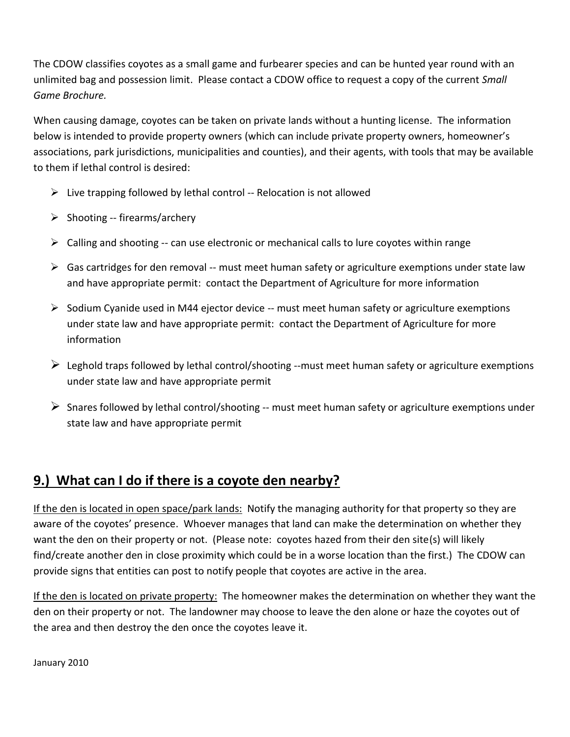The CDOW classifies coyotes as a small game and furbearer species and can be hunted year round with an unlimited bag and possession limit. Please contact a CDOW office to request a copy of the current *Small Game Brochure.*

When causing damage, coyotes can be taken on private lands without a hunting license. The information below is intended to provide property owners (which can include private property owners, homeowner's associations, park jurisdictions, municipalities and counties), and their agents, with tools that may be available to them if lethal control is desired:

- $\triangleright$  Live trapping followed by lethal control -- Relocation is not allowed
- $\triangleright$  Shooting -- firearms/archery
- $\triangleright$  Calling and shooting -- can use electronic or mechanical calls to lure coyotes within range
- $\triangleright$  Gas cartridges for den removal -- must meet human safety or agriculture exemptions under state law and have appropriate permit: contact the Department of Agriculture for more information
- $\triangleright$  Sodium Cyanide used in M44 ejector device -- must meet human safety or agriculture exemptions under state law and have appropriate permit: contact the Department of Agriculture for more information
- $\triangleright$  Leghold traps followed by lethal control/shooting --must meet human safety or agriculture exemptions under state law and have appropriate permit
- $\triangleright$  Snares followed by lethal control/shooting -- must meet human safety or agriculture exemptions under state law and have appropriate permit

# **9.) What can I do if there is a coyote den nearby?**

If the den is located in open space/park lands: Notify the managing authority for that property so they are aware of the coyotes' presence. Whoever manages that land can make the determination on whether they want the den on their property or not. (Please note: coyotes hazed from their den site(s) will likely find/create another den in close proximity which could be in a worse location than the first.) The CDOW can provide signs that entities can post to notify people that coyotes are active in the area.

If the den is located on private property: The homeowner makes the determination on whether they want the den on their property or not. The landowner may choose to leave the den alone or haze the coyotes out of the area and then destroy the den once the coyotes leave it.